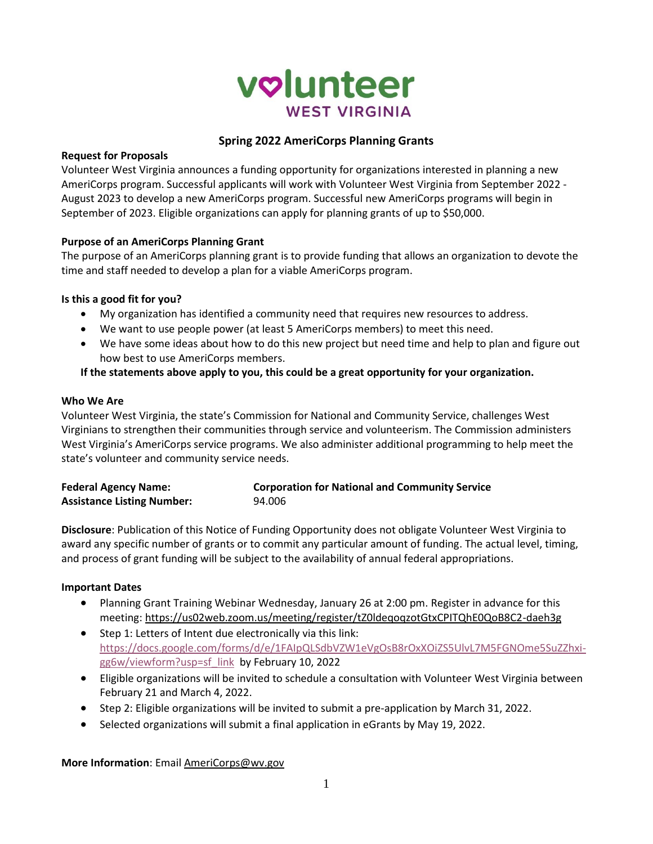

# **Spring 2022 AmeriCorps Planning Grants**

### **Request for Proposals**

Volunteer West Virginia announces a funding opportunity for organizations interested in planning a new AmeriCorps program. Successful applicants will work with Volunteer West Virginia from September 2022 - August 2023 to develop a new AmeriCorps program. Successful new AmeriCorps programs will begin in September of 2023. Eligible organizations can apply for planning grants of up to \$50,000.

### **Purpose of an AmeriCorps Planning Grant**

The purpose of an AmeriCorps planning grant is to provide funding that allows an organization to devote the time and staff needed to develop a plan for a viable AmeriCorps program.

### **Is this a good fit for you?**

- My organization has identified a community need that requires new resources to address.
- We want to use people power (at least 5 AmeriCorps members) to meet this need.
- We have some ideas about how to do this new project but need time and help to plan and figure out how best to use AmeriCorps members.

# **If the statements above apply to you, this could be a great opportunity for your organization.**

### **Who We Are**

Volunteer West Virginia, the state's Commission for National and Community Service, challenges West Virginians to strengthen their communities through service and volunteerism. The Commission administers West Virginia's AmeriCorps service programs. We also administer additional programming to help meet the state's volunteer and community service needs.

| <b>Federal Agency Name:</b>       | <b>Corporation for National and Community Service</b> |
|-----------------------------------|-------------------------------------------------------|
| <b>Assistance Listing Number:</b> | 94.006                                                |

**Disclosure**: Publication of this Notice of Funding Opportunity does not obligate Volunteer West Virginia to award any specific number of grants or to commit any particular amount of funding. The actual level, timing, and process of grant funding will be subject to the availability of annual federal appropriations.

### **Important Dates**

- Planning Grant Training Webinar Wednesday, January 26 at 2:00 pm. Register in advance for this meeting:<https://us02web.zoom.us/meeting/register/tZ0ldeqoqzotGtxCPITQhE0QoB8C2-daeh3g>
- Step 1: Letters of Intent due electronically via this link: [https://docs.google.com/forms/d/e/1FAIpQLSdbVZW1eVgOsB8rOxXOiZS5UlvL7M5FGNOme5SuZZhxi](https://docs.google.com/forms/d/e/1FAIpQLSdbVZW1eVgOsB8rOxXOiZS5UlvL7M5FGNOme5SuZZhxi-gg6w/viewform?usp=sf_link)[gg6w/viewform?usp=sf\\_link](https://docs.google.com/forms/d/e/1FAIpQLSdbVZW1eVgOsB8rOxXOiZS5UlvL7M5FGNOme5SuZZhxi-gg6w/viewform?usp=sf_link) by February 10, 2022
- Eligible organizations will be invited to schedule a consultation with Volunteer West Virginia between February 21 and March 4, 2022.
- Step 2: Eligible organizations will be invited to submit a pre-application by March 31, 2022.
- Selected organizations will submit a final application in eGrants by May 19, 2022.

**More Information**: Emai[l AmeriCorps@wv.gov](mailto:AmeriCorps@wv.gov)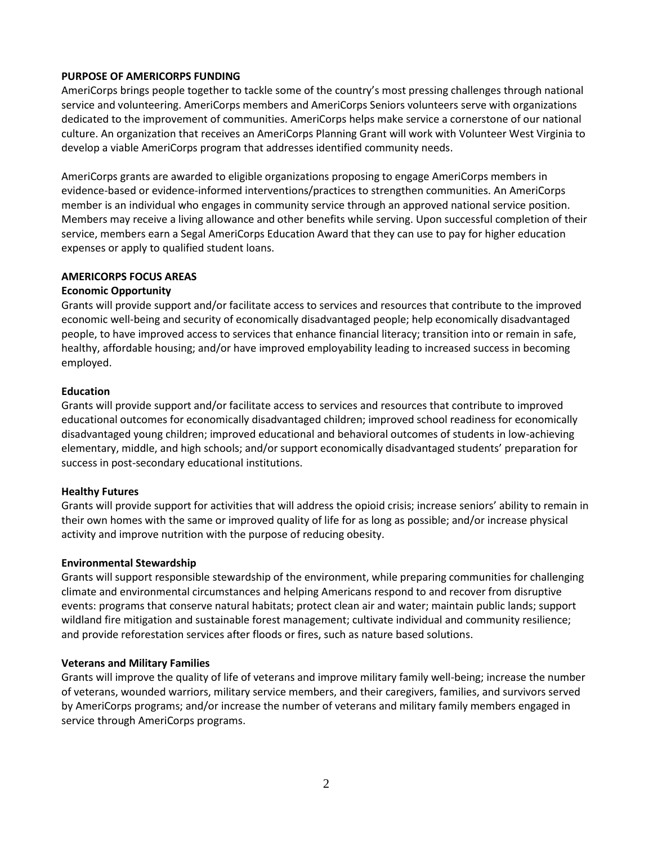### **PURPOSE OF AMERICORPS FUNDING**

AmeriCorps brings people together to tackle some of the country's most pressing challenges through national service and volunteering. AmeriCorps members and AmeriCorps Seniors volunteers serve with organizations dedicated to the improvement of communities. AmeriCorps helps make service a cornerstone of our national culture. An organization that receives an AmeriCorps Planning Grant will work with Volunteer West Virginia to develop a viable AmeriCorps program that addresses identified community needs.

AmeriCorps grants are awarded to eligible organizations proposing to engage AmeriCorps members in evidence-based or evidence-informed interventions/practices to strengthen communities. An AmeriCorps member is an individual who engages in community service through an approved national service position. Members may receive a living allowance and other benefits while serving. Upon successful completion of their service, members earn a Segal AmeriCorps Education Award that they can use to pay for higher education expenses or apply to qualified student loans.

### **AMERICORPS FOCUS AREAS**

### **Economic Opportunity**

Grants will provide support and/or facilitate access to services and resources that contribute to the improved economic well-being and security of economically disadvantaged people; help economically disadvantaged people, to have improved access to services that enhance financial literacy; transition into or remain in safe, healthy, affordable housing; and/or have improved employability leading to increased success in becoming employed.

### **Education**

Grants will provide support and/or facilitate access to services and resources that contribute to improved educational outcomes for economically disadvantaged children; improved school readiness for economically disadvantaged young children; improved educational and behavioral outcomes of students in low-achieving elementary, middle, and high schools; and/or support economically disadvantaged students' preparation for success in post-secondary educational institutions.

### **Healthy Futures**

Grants will provide support for activities that will address the opioid crisis; increase seniors' ability to remain in their own homes with the same or improved quality of life for as long as possible; and/or increase physical activity and improve nutrition with the purpose of reducing obesity.

#### **Environmental Stewardship**

Grants will support responsible stewardship of the environment, while preparing communities for challenging climate and environmental circumstances and helping Americans respond to and recover from disruptive events: programs that conserve natural habitats; protect clean air and water; maintain public lands; support wildland fire mitigation and sustainable forest management; cultivate individual and community resilience; and provide reforestation services after floods or fires, such as nature based solutions.

#### **Veterans and Military Families**

Grants will improve the quality of life of veterans and improve military family well-being; increase the number of veterans, wounded warriors, military service members, and their caregivers, families, and survivors served by AmeriCorps programs; and/or increase the number of veterans and military family members engaged in service through AmeriCorps programs.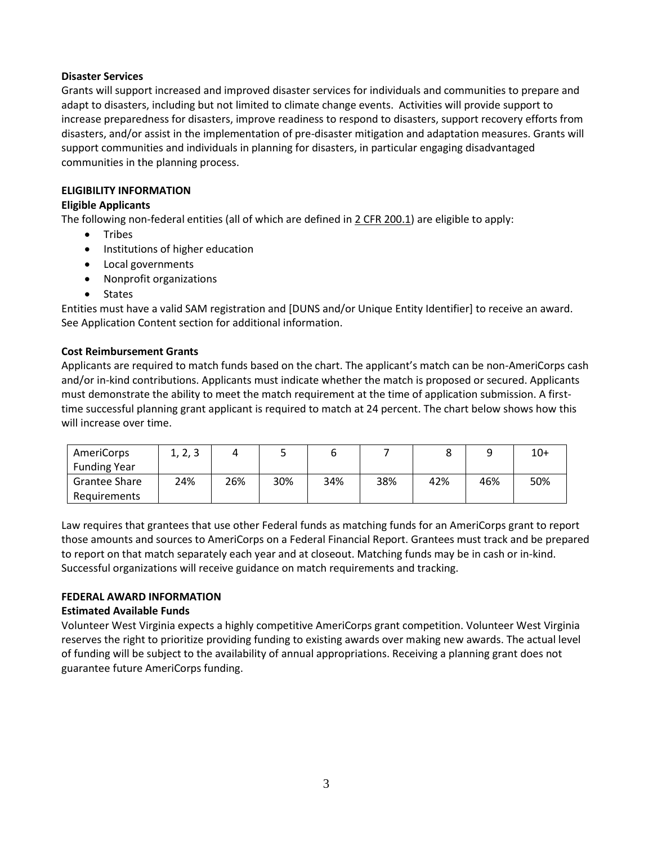### **Disaster Services**

Grants will support increased and improved disaster services for individuals and communities to prepare and adapt to disasters, including but not limited to climate change events. Activities will provide support to increase preparedness for disasters, improve readiness to respond to disasters, support recovery efforts from disasters, and/or assist in the implementation of pre-disaster mitigation and adaptation measures. Grants will support communities and individuals in planning for disasters, in particular engaging disadvantaged communities in the planning process.

# **ELIGIBILITY INFORMATION**

# **Eligible Applicants**

The following non-federal entities (all of which are defined in 2 CFR 200.1) are eligible to apply:

- Tribes
- Institutions of higher education
- Local governments
- Nonprofit organizations
- States

Entities must have a valid SAM registration and [DUNS and/or Unique Entity Identifier] to receive an award. See Application Content section for additional information.

# **Cost Reimbursement Grants**

Applicants are required to match funds based on the chart. The applicant's match can be non-AmeriCorps cash and/or in-kind contributions. Applicants must indicate whether the match is proposed or secured. Applicants must demonstrate the ability to meet the match requirement at the time of application submission. A firsttime successful planning grant applicant is required to match at 24 percent. The chart below shows how this will increase over time.

| AmeriCorps           | 1, 2, 3 |     | ـ   |     |     |     |     | $10+$ |
|----------------------|---------|-----|-----|-----|-----|-----|-----|-------|
| <b>Funding Year</b>  |         |     |     |     |     |     |     |       |
| <b>Grantee Share</b> | 24%     | 26% | 30% | 34% | 38% | 42% | 46% | 50%   |
| Requirements         |         |     |     |     |     |     |     |       |

Law requires that grantees that use other Federal funds as matching funds for an AmeriCorps grant to report those amounts and sources to AmeriCorps on a Federal Financial Report. Grantees must track and be prepared to report on that match separately each year and at closeout. Matching funds may be in cash or in-kind. Successful organizations will receive guidance on match requirements and tracking.

### **FEDERAL AWARD INFORMATION**

### **Estimated Available Funds**

Volunteer West Virginia expects a highly competitive AmeriCorps grant competition. Volunteer West Virginia reserves the right to prioritize providing funding to existing awards over making new awards. The actual level of funding will be subject to the availability of annual appropriations. Receiving a planning grant does not guarantee future AmeriCorps funding.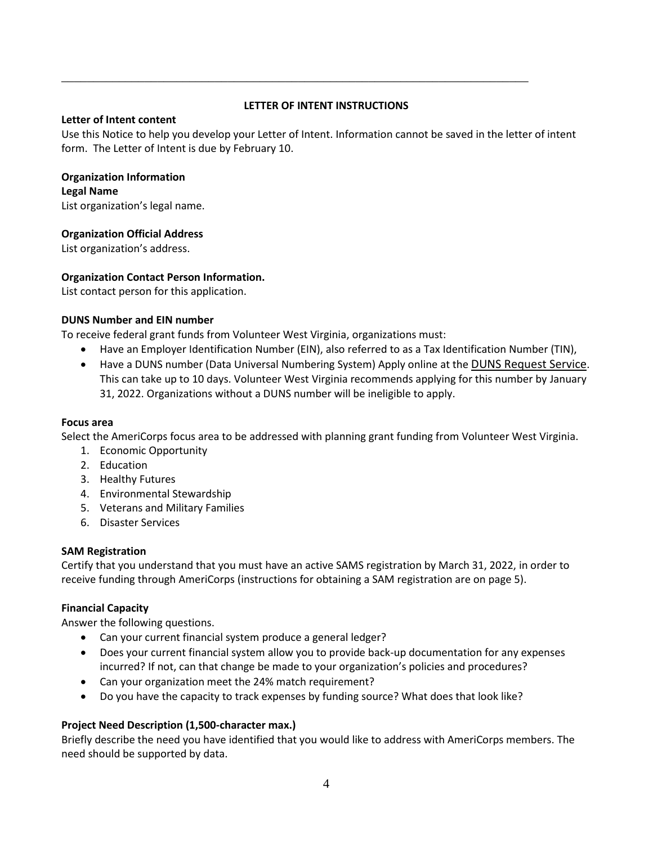# **LETTER OF INTENT INSTRUCTIONS**

*\_\_\_\_\_\_\_\_\_\_\_\_\_\_\_\_\_\_\_\_\_\_\_\_\_\_\_\_\_\_\_\_\_\_\_\_\_\_\_\_\_\_\_\_\_\_\_\_\_\_\_\_\_\_\_\_\_\_\_\_\_\_\_\_\_\_\_\_\_\_\_\_\_*

### **Letter of Intent content**

Use this Notice to help you develop your Letter of Intent. Information cannot be saved in the letter of intent form. The Letter of Intent is due by February 10.

### **Organization Information**

**Legal Name**

List organization's legal name.

### **Organization Official Address**

List organization's address.

### **Organization Contact Person Information.**

List contact person for this application.

### **DUNS Number and EIN number**

To receive federal grant funds from Volunteer West Virginia, organizations must:

- Have an Employer Identification Number (EIN), also referred to as a Tax Identification Number (TIN),
- Have a DUNS number (Data Universal Numbering System) Apply online at the [DUNS Request Service](https://fedgov.dnb.com/webform). This can take up to 10 days. Volunteer West Virginia recommends applying for this number by January 31, 2022. Organizations without a DUNS number will be ineligible to apply.

#### **Focus area**

Select the AmeriCorps focus area to be addressed with planning grant funding from Volunteer West Virginia.

- 1. Economic Opportunity
- 2. Education
- 3. Healthy Futures
- 4. Environmental Stewardship
- 5. Veterans and Military Families
- 6. Disaster Services

#### **SAM Registration**

Certify that you understand that you must have an active SAMS registration by March 31, 2022, in order to receive funding through AmeriCorps (instructions for obtaining a SAM registration are on page 5).

#### **Financial Capacity**

Answer the following questions.

- Can your current financial system produce a general ledger?
- Does your current financial system allow you to provide back-up documentation for any expenses incurred? If not, can that change be made to your organization's policies and procedures?
- Can your organization meet the 24% match requirement?
- Do you have the capacity to track expenses by funding source? What does that look like?

### **Project Need Description (1,500-character max.)**

Briefly describe the need you have identified that you would like to address with AmeriCorps members. The need should be supported by data.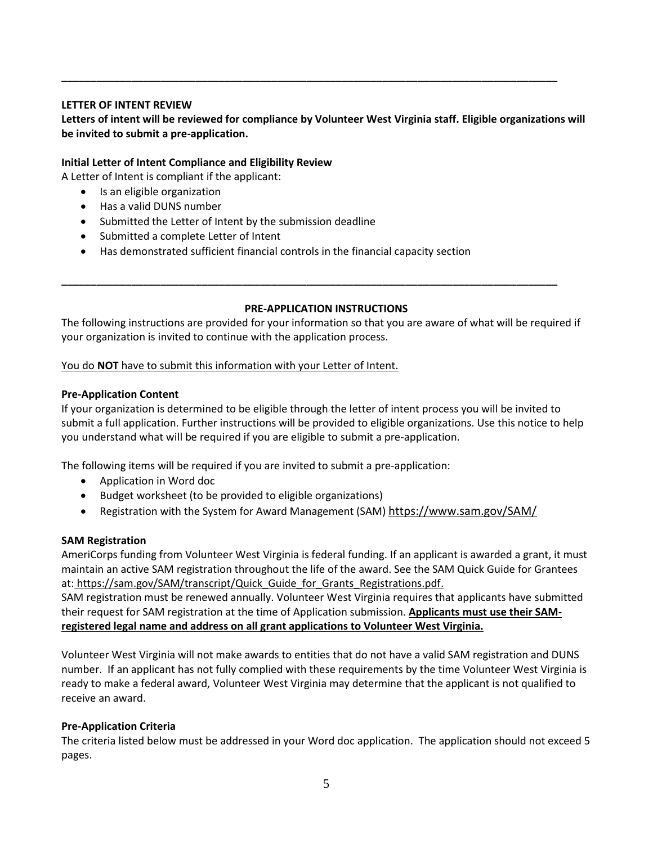# **LETTER OF INTENT REVIEW**

# **Letters of intent will be reviewed for compliance by Volunteer West Virginia staff. Eligible organizations will be invited to submit a pre-application.**

**\_\_\_\_\_\_\_\_\_\_\_\_\_\_\_\_\_\_\_\_\_\_\_\_\_\_\_\_\_\_\_\_\_\_\_\_\_\_\_\_\_\_\_\_\_\_\_\_\_\_\_\_\_\_\_\_\_\_\_\_\_\_\_\_\_\_\_\_\_\_\_\_\_\_\_\_\_\_\_\_\_\_\_\_\_**

### **Initial Letter of Intent Compliance and Eligibility Review**

A Letter of Intent is compliant if the applicant:

- Is an eligible organization
- Has a valid DUNS number
- Submitted the Letter of Intent by the submission deadline
- Submitted a complete Letter of Intent
- Has demonstrated sufficient financial controls in the financial capacity section

### **PRE-APPLICATION INSTRUCTIONS**

The following instructions are provided for your information so that you are aware of what will be required if your organization is invited to continue with the application process.

**\_\_\_\_\_\_\_\_\_\_\_\_\_\_\_\_\_\_\_\_\_\_\_\_\_\_\_\_\_\_\_\_\_\_\_\_\_\_\_\_\_\_\_\_\_\_\_\_\_\_\_\_\_\_\_\_\_\_\_\_\_\_\_\_\_\_\_\_\_\_\_\_\_\_\_\_\_\_\_\_\_\_\_\_\_**

### You do **NOT** have to submit this information with your Letter of Intent.

### **Pre-Application Content**

If your organization is determined to be eligible through the letter of intent process you will be invited to submit a full application. Further instructions will be provided to eligible organizations. Use this notice to help you understand what will be required if you are eligible to submit a pre-application.

The following items will be required if you are invited to submit a pre-application:

- Application in Word doc
- Budget worksheet (to be provided to eligible organizations)
- Registration with the System for Award Management (SAM) <https://www.sam.gov/SAM/>

### **SAM Registration**

AmeriCorps funding from Volunteer West Virginia is federal funding. If an applicant is awarded a grant, it must maintain an active SAM registration throughout the life of the award. See the SAM Quick Guide for Grantees at: https://sam.gov/SAM/transcript/Quick Guide for Grants Registrations.pdf.

SAM registration must be renewed annually. Volunteer West Virginia requires that applicants have submitted their request for SAM registration at the time of Application submission. **Applicants must use their SAMregistered legal name and address on all grant applications to Volunteer West Virginia.**

Volunteer West Virginia will not make awards to entities that do not have a valid SAM registration and DUNS number. If an applicant has not fully complied with these requirements by the time Volunteer West Virginia is ready to make a federal award, Volunteer West Virginia may determine that the applicant is not qualified to receive an award.

### **Pre-Application Criteria**

The criteria listed below must be addressed in your Word doc application. The application should not exceed 5 pages.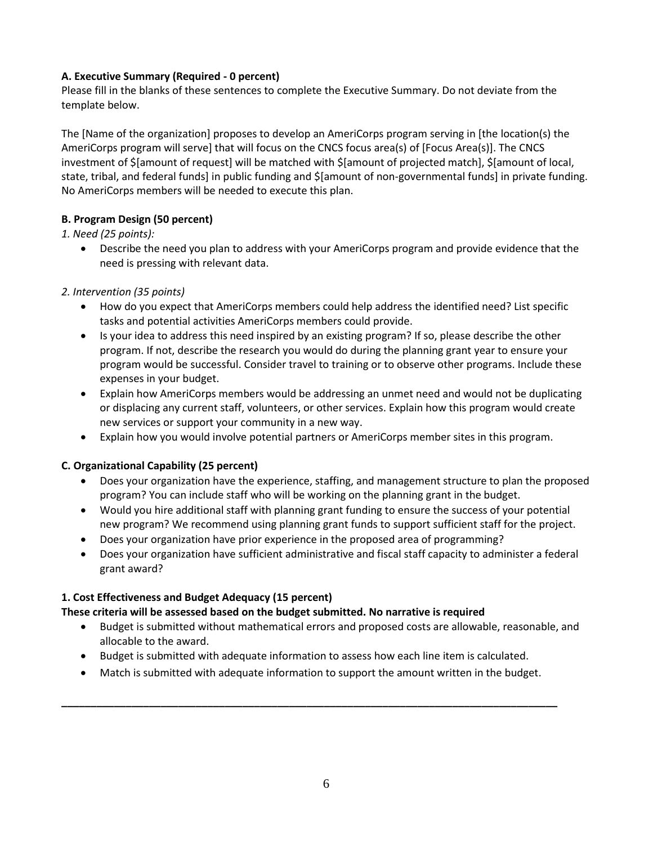# **A. Executive Summary (Required - 0 percent)**

Please fill in the blanks of these sentences to complete the Executive Summary. Do not deviate from the template below.

The [Name of the organization] proposes to develop an AmeriCorps program serving in [the location(s) the AmeriCorps program will serve] that will focus on the CNCS focus area(s) of [Focus Area(s)]. The CNCS investment of \$[amount of request] will be matched with \$[amount of projected match], \$[amount of local, state, tribal, and federal funds] in public funding and \$[amount of non-governmental funds] in private funding. No AmeriCorps members will be needed to execute this plan.

# **B. Program Design (50 percent)**

# *1. Need (25 points):*

• Describe the need you plan to address with your AmeriCorps program and provide evidence that the need is pressing with relevant data.

# *2. Intervention (35 points)*

- How do you expect that AmeriCorps members could help address the identified need? List specific tasks and potential activities AmeriCorps members could provide.
- Is your idea to address this need inspired by an existing program? If so, please describe the other program. If not, describe the research you would do during the planning grant year to ensure your program would be successful. Consider travel to training or to observe other programs. Include these expenses in your budget.
- Explain how AmeriCorps members would be addressing an unmet need and would not be duplicating or displacing any current staff, volunteers, or other services. Explain how this program would create new services or support your community in a new way.
- Explain how you would involve potential partners or AmeriCorps member sites in this program.

# **C. Organizational Capability (25 percent)**

- Does your organization have the experience, staffing, and management structure to plan the proposed program? You can include staff who will be working on the planning grant in the budget.
- Would you hire additional staff with planning grant funding to ensure the success of your potential new program? We recommend using planning grant funds to support sufficient staff for the project.
- Does your organization have prior experience in the proposed area of programming?
- Does your organization have sufficient administrative and fiscal staff capacity to administer a federal grant award?

# **1. Cost Effectiveness and Budget Adequacy (15 percent)**

# **These criteria will be assessed based on the budget submitted. No narrative is required**

- Budget is submitted without mathematical errors and proposed costs are allowable, reasonable, and allocable to the award.
- Budget is submitted with adequate information to assess how each line item is calculated.
- Match is submitted with adequate information to support the amount written in the budget.

**\_\_\_\_\_\_\_\_\_\_\_\_\_\_\_\_\_\_\_\_\_\_\_\_\_\_\_\_\_\_\_\_\_\_\_\_\_\_\_\_\_\_\_\_\_\_\_\_\_\_\_\_\_\_\_\_\_\_\_\_\_\_\_\_\_\_\_\_\_\_\_\_\_\_\_\_\_\_\_\_\_\_\_\_\_**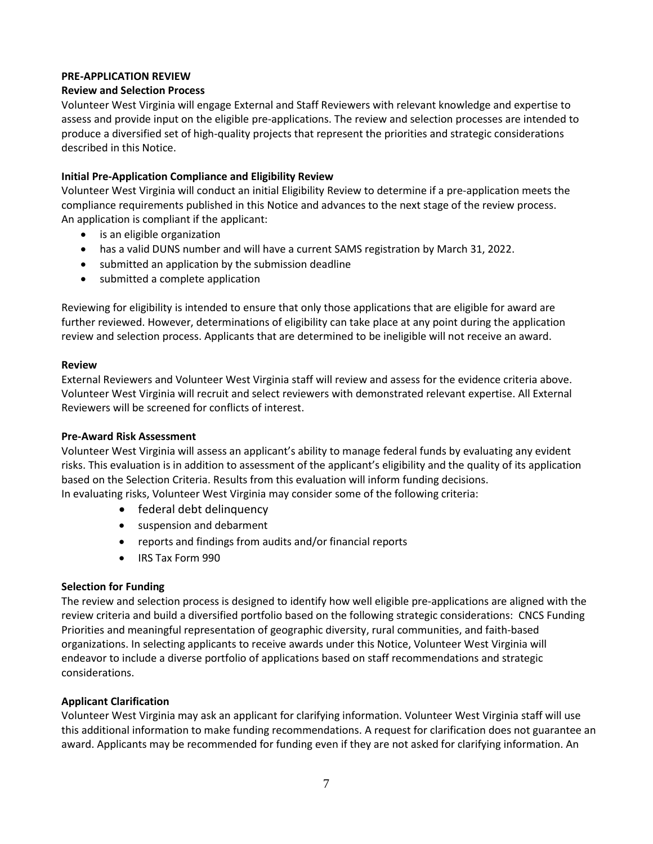# **PRE-APPLICATION REVIEW**

# **Review and Selection Process**

Volunteer West Virginia will engage External and Staff Reviewers with relevant knowledge and expertise to assess and provide input on the eligible pre-applications. The review and selection processes are intended to produce a diversified set of high-quality projects that represent the priorities and strategic considerations described in this Notice.

# **Initial Pre-Application Compliance and Eligibility Review**

Volunteer West Virginia will conduct an initial Eligibility Review to determine if a pre-application meets the compliance requirements published in this Notice and advances to the next stage of the review process. An application is compliant if the applicant:

- is an eligible organization
- has a valid DUNS number and will have a current SAMS registration by March 31, 2022.
- submitted an application by the submission deadline
- submitted a complete application

Reviewing for eligibility is intended to ensure that only those applications that are eligible for award are further reviewed. However, determinations of eligibility can take place at any point during the application review and selection process. Applicants that are determined to be ineligible will not receive an award.

### **Review**

External Reviewers and Volunteer West Virginia staff will review and assess for the evidence criteria above. Volunteer West Virginia will recruit and select reviewers with demonstrated relevant expertise. All External Reviewers will be screened for conflicts of interest.

### **Pre-Award Risk Assessment**

Volunteer West Virginia will assess an applicant's ability to manage federal funds by evaluating any evident risks. This evaluation is in addition to assessment of the applicant's eligibility and the quality of its application based on the Selection Criteria. Results from this evaluation will inform funding decisions.

In evaluating risks, Volunteer West Virginia may consider some of the following criteria:

- federal debt delinquency
- suspension and debarment
- reports and findings from audits and/or financial reports
- IRS Tax Form 990

### **Selection for Funding**

The review and selection process is designed to identify how well eligible pre-applications are aligned with the review criteria and build a diversified portfolio based on the following strategic considerations: CNCS Funding Priorities and meaningful representation of geographic diversity, rural communities, and faith-based organizations. In selecting applicants to receive awards under this Notice, Volunteer West Virginia will endeavor to include a diverse portfolio of applications based on staff recommendations and strategic considerations.

### **Applicant Clarification**

Volunteer West Virginia may ask an applicant for clarifying information. Volunteer West Virginia staff will use this additional information to make funding recommendations. A request for clarification does not guarantee an award. Applicants may be recommended for funding even if they are not asked for clarifying information. An